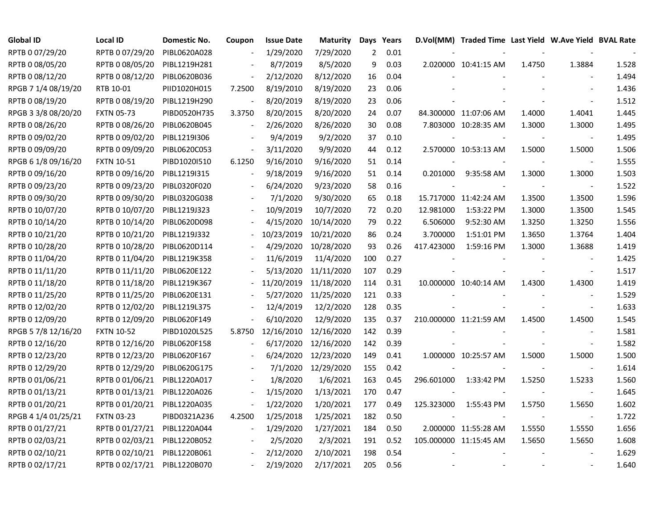| <b>Global ID</b>    | Local ID          | Domestic No. | Coupon         | <b>Issue Date</b> | <b>Maturity</b> | Days Years     |      |            | D.Vol(MM) Traded Time Last Yield W.Ave Yield BVAL Rate |        |                          |       |
|---------------------|-------------------|--------------|----------------|-------------------|-----------------|----------------|------|------------|--------------------------------------------------------|--------|--------------------------|-------|
| RPTB 0 07/29/20     | RPTB 0 07/29/20   | PIBL0620A028 |                | 1/29/2020         | 7/29/2020       | $\overline{2}$ | 0.01 |            |                                                        |        |                          |       |
| RPTB 0 08/05/20     | RPTB 0 08/05/20   | PIBL1219H281 |                | 8/7/2019          | 8/5/2020        | 9              | 0.03 |            | 2.020000 10:41:15 AM                                   | 1.4750 | 1.3884                   | 1.528 |
| RPTB 0 08/12/20     | RPTB 0 08/12/20   | PIBL0620B036 |                | 2/12/2020         | 8/12/2020       | 16             | 0.04 |            |                                                        |        |                          | 1.494 |
| RPGB 7 1/4 08/19/20 | RTB 10-01         | PIID1020H015 | 7.2500         | 8/19/2010         | 8/19/2020       | 23             | 0.06 |            |                                                        |        |                          | 1.436 |
| RPTB 0 08/19/20     | RPTB 0 08/19/20   | PIBL1219H290 |                | 8/20/2019         | 8/19/2020       | 23             | 0.06 |            |                                                        |        |                          | 1.512 |
| RPGB 3 3/8 08/20/20 | <b>FXTN 05-73</b> | PIBD0520H735 | 3.3750         | 8/20/2015         | 8/20/2020       | 24             | 0.07 |            | 84.300000 11:07:06 AM                                  | 1.4000 | 1.4041                   | 1.445 |
| RPTB 0 08/26/20     | RPTB 0 08/26/20   | PIBL0620B045 | $\blacksquare$ | 2/26/2020         | 8/26/2020       | 30             | 0.08 |            | 7.803000 10:28:35 AM                                   | 1.3000 | 1.3000                   | 1.495 |
| RPTB 0 09/02/20     | RPTB 0 09/02/20   | PIBL1219I306 |                | 9/4/2019          | 9/2/2020        | 37             | 0.10 |            |                                                        |        | $\overline{\phantom{a}}$ | 1.495 |
| RPTB 0 09/09/20     | RPTB 0 09/09/20   | PIBL0620C053 |                | 3/11/2020         | 9/9/2020        | 44             | 0.12 |            | 2.570000 10:53:13 AM                                   | 1.5000 | 1.5000                   | 1.506 |
| RPGB 6 1/8 09/16/20 | <b>FXTN 10-51</b> | PIBD1020I510 | 6.1250         | 9/16/2010         | 9/16/2020       | 51             | 0.14 |            |                                                        |        | $\blacksquare$           | 1.555 |
| RPTB 0 09/16/20     | RPTB 0 09/16/20   | PIBL12191315 |                | 9/18/2019         | 9/16/2020       | 51             | 0.14 | 0.201000   | 9:35:58 AM                                             | 1.3000 | 1.3000                   | 1.503 |
| RPTB 0 09/23/20     | RPTB 0 09/23/20   | PIBL0320F020 |                | 6/24/2020         | 9/23/2020       | 58             | 0.16 |            |                                                        |        | $\overline{\phantom{a}}$ | 1.522 |
| RPTB 0 09/30/20     | RPTB 0 09/30/20   | PIBL0320G038 |                | 7/1/2020          | 9/30/2020       | 65             | 0.18 |            | 15.717000 11:42:24 AM                                  | 1.3500 | 1.3500                   | 1.596 |
| RPTB 0 10/07/20     | RPTB 0 10/07/20   | PIBL1219J323 |                | 10/9/2019         | 10/7/2020       | 72             | 0.20 | 12.981000  | 1:53:22 PM                                             | 1.3000 | 1.3500                   | 1.545 |
| RPTB 0 10/14/20     | RPTB 0 10/14/20   | PIBL0620D098 |                | 4/15/2020         | 10/14/2020      | 79             | 0.22 | 6.506000   | 9:52:30 AM                                             | 1.3250 | 1.3250                   | 1.556 |
| RPTB 0 10/21/20     | RPTB 0 10/21/20   | PIBL1219J332 |                | 10/23/2019        | 10/21/2020      | 86             | 0.24 | 3.700000   | 1:51:01 PM                                             | 1.3650 | 1.3764                   | 1.404 |
| RPTB 0 10/28/20     | RPTB 0 10/28/20   | PIBL0620D114 |                | 4/29/2020         | 10/28/2020      | 93             | 0.26 | 417.423000 | 1:59:16 PM                                             | 1.3000 | 1.3688                   | 1.419 |
| RPTB 0 11/04/20     | RPTB 0 11/04/20   | PIBL1219K358 |                | 11/6/2019         | 11/4/2020       | 100            | 0.27 |            |                                                        |        | $\blacksquare$           | 1.425 |
| RPTB 0 11/11/20     | RPTB 0 11/11/20   | PIBL0620E122 |                | 5/13/2020         | 11/11/2020      | 107            | 0.29 |            |                                                        |        | $\blacksquare$           | 1.517 |
| RPTB 0 11/18/20     | RPTB 0 11/18/20   | PIBL1219K367 |                | 11/20/2019        | 11/18/2020      | 114            | 0.31 |            | 10.000000 10:40:14 AM                                  | 1.4300 | 1.4300                   | 1.419 |
| RPTB 0 11/25/20     | RPTB 0 11/25/20   | PIBL0620E131 |                | 5/27/2020         | 11/25/2020      | 121            | 0.33 |            |                                                        |        | $\blacksquare$           | 1.529 |
| RPTB 0 12/02/20     | RPTB 0 12/02/20   | PIBL1219L375 |                | 12/4/2019         | 12/2/2020       | 128            | 0.35 |            |                                                        |        | $\overline{\phantom{a}}$ | 1.633 |
| RPTB 0 12/09/20     | RPTB 0 12/09/20   | PIBL0620F149 |                | 6/10/2020         | 12/9/2020       | 135            | 0.37 |            | 210.000000 11:21:59 AM                                 | 1.4500 | 1.4500                   | 1.545 |
| RPGB 5 7/8 12/16/20 | <b>FXTN 10-52</b> | PIBD1020L525 | 5.8750         | 12/16/2010        | 12/16/2020      | 142            | 0.39 |            |                                                        |        | $\blacksquare$           | 1.581 |
| RPTB 0 12/16/20     | RPTB 0 12/16/20   | PIBL0620F158 |                | 6/17/2020         | 12/16/2020      | 142            | 0.39 |            |                                                        |        | $\blacksquare$           | 1.582 |
| RPTB 0 12/23/20     | RPTB 0 12/23/20   | PIBL0620F167 |                | 6/24/2020         | 12/23/2020      | 149            | 0.41 |            | 1.000000 10:25:57 AM                                   | 1.5000 | 1.5000                   | 1.500 |
| RPTB 0 12/29/20     | RPTB 0 12/29/20   | PIBL0620G175 |                | 7/1/2020          | 12/29/2020      | 155            | 0.42 |            |                                                        |        | $\blacksquare$           | 1.614 |
| RPTB 0 01/06/21     | RPTB 0 01/06/21   | PIBL1220A017 |                | 1/8/2020          | 1/6/2021        | 163            | 0.45 | 296.601000 | 1:33:42 PM                                             | 1.5250 | 1.5233                   | 1.560 |
| RPTB 0 01/13/21     | RPTB 0 01/13/21   | PIBL1220A026 |                | 1/15/2020         | 1/13/2021       | 170            | 0.47 |            |                                                        |        | $\blacksquare$           | 1.645 |
| RPTB 0 01/20/21     | RPTB 0 01/20/21   | PIBL1220A035 |                | 1/22/2020         | 1/20/2021       | 177            | 0.49 | 125.323000 | 1:55:43 PM                                             | 1.5750 | 1.5650                   | 1.602 |
| RPGB 4 1/4 01/25/21 | <b>FXTN 03-23</b> | PIBD0321A236 | 4.2500         | 1/25/2018         | 1/25/2021       | 182            | 0.50 |            |                                                        | $\sim$ | $\overline{\phantom{a}}$ | 1.722 |
| RPTB 0 01/27/21     | RPTB 0 01/27/21   | PIBL1220A044 | $\blacksquare$ | 1/29/2020         | 1/27/2021       | 184            | 0.50 |            | 2.000000 11:55:28 AM                                   | 1.5550 | 1.5550                   | 1.656 |
| RPTB 0 02/03/21     | RPTB 0 02/03/21   | PIBL1220B052 |                | 2/5/2020          | 2/3/2021        | 191            | 0.52 |            | 105.000000 11:15:45 AM                                 | 1.5650 | 1.5650                   | 1.608 |
| RPTB 0 02/10/21     | RPTB 0 02/10/21   | PIBL1220B061 |                | 2/12/2020         | 2/10/2021       | 198            | 0.54 |            |                                                        |        |                          | 1.629 |
| RPTB 0 02/17/21     | RPTB 0 02/17/21   | PIBL1220B070 |                | 2/19/2020         | 2/17/2021       | 205            | 0.56 |            |                                                        |        |                          | 1.640 |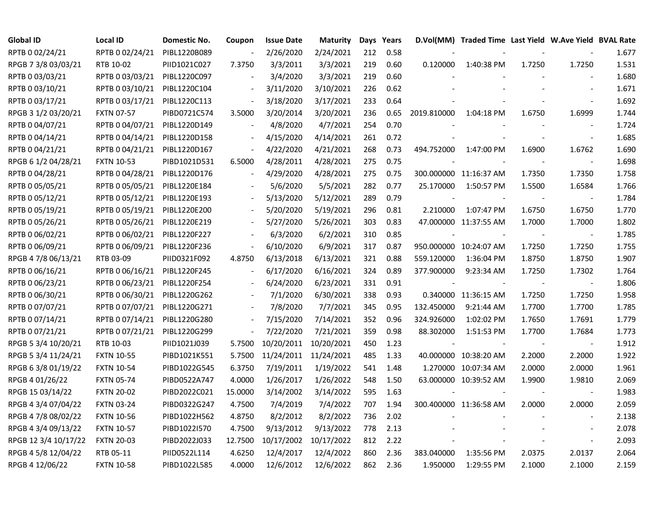| Global ID            | <b>Local ID</b>   | Domestic No. | Coupon                   | <b>Issue Date</b>     | <b>Maturity</b> |     | Days Years |             | D.Vol(MM) Traded Time Last Yield W.Ave Yield BVAL Rate |        |                          |       |
|----------------------|-------------------|--------------|--------------------------|-----------------------|-----------------|-----|------------|-------------|--------------------------------------------------------|--------|--------------------------|-------|
| RPTB 0 02/24/21      | RPTB 0 02/24/21   | PIBL1220B089 |                          | 2/26/2020             | 2/24/2021       | 212 | 0.58       |             |                                                        |        |                          | 1.677 |
| RPGB 7 3/8 03/03/21  | RTB 10-02         | PIID1021C027 | 7.3750                   | 3/3/2011              | 3/3/2021        | 219 | 0.60       | 0.120000    | 1:40:38 PM                                             | 1.7250 | 1.7250                   | 1.531 |
| RPTB 0 03/03/21      | RPTB 0 03/03/21   | PIBL1220C097 |                          | 3/4/2020              | 3/3/2021        | 219 | 0.60       |             |                                                        |        |                          | 1.680 |
| RPTB 0 03/10/21      | RPTB 0 03/10/21   | PIBL1220C104 |                          | 3/11/2020             | 3/10/2021       | 226 | 0.62       |             |                                                        |        |                          | 1.671 |
| RPTB 0 03/17/21      | RPTB 0 03/17/21   | PIBL1220C113 | $\overline{\phantom{a}}$ | 3/18/2020             | 3/17/2021       | 233 | 0.64       |             |                                                        |        |                          | 1.692 |
| RPGB 3 1/2 03/20/21  | <b>FXTN 07-57</b> | PIBD0721C574 | 3.5000                   | 3/20/2014             | 3/20/2021       | 236 | 0.65       | 2019.810000 | 1:04:18 PM                                             | 1.6750 | 1.6999                   | 1.744 |
| RPTB 0 04/07/21      | RPTB 0 04/07/21   | PIBL1220D149 | $\blacksquare$           | 4/8/2020              | 4/7/2021        | 254 | 0.70       |             |                                                        |        | $\sim$                   | 1.724 |
| RPTB 0 04/14/21      | RPTB 0 04/14/21   | PIBL1220D158 |                          | 4/15/2020             | 4/14/2021       | 261 | 0.72       |             |                                                        |        | $\sim$                   | 1.685 |
| RPTB 0 04/21/21      | RPTB 0 04/21/21   | PIBL1220D167 | $\blacksquare$           | 4/22/2020             | 4/21/2021       | 268 | 0.73       | 494.752000  | 1:47:00 PM                                             | 1.6900 | 1.6762                   | 1.690 |
| RPGB 6 1/2 04/28/21  | <b>FXTN 10-53</b> | PIBD1021D531 | 6.5000                   | 4/28/2011             | 4/28/2021       | 275 | 0.75       |             |                                                        |        |                          | 1.698 |
| RPTB 0 04/28/21      | RPTB 0 04/28/21   | PIBL1220D176 | $\blacksquare$           | 4/29/2020             | 4/28/2021       | 275 | 0.75       |             | 300.000000 11:16:37 AM                                 | 1.7350 | 1.7350                   | 1.758 |
| RPTB 0 05/05/21      | RPTB 0 05/05/21   | PIBL1220E184 |                          | 5/6/2020              | 5/5/2021        | 282 | 0.77       | 25.170000   | 1:50:57 PM                                             | 1.5500 | 1.6584                   | 1.766 |
| RPTB 0 05/12/21      | RPTB 0 05/12/21   | PIBL1220E193 |                          | 5/13/2020             | 5/12/2021       | 289 | 0.79       |             |                                                        |        | $\overline{\phantom{a}}$ | 1.784 |
| RPTB 0 05/19/21      | RPTB 0 05/19/21   | PIBL1220E200 |                          | 5/20/2020             | 5/19/2021       | 296 | 0.81       | 2.210000    | 1:07:47 PM                                             | 1.6750 | 1.6750                   | 1.770 |
| RPTB 0 05/26/21      | RPTB 0 05/26/21   | PIBL1220E219 |                          | 5/27/2020             | 5/26/2021       | 303 | 0.83       |             | 47.000000 11:37:55 AM                                  | 1.7000 | 1.7000                   | 1.802 |
| RPTB 0 06/02/21      | RPTB 0 06/02/21   | PIBL1220F227 |                          | 6/3/2020              | 6/2/2021        | 310 | 0.85       |             |                                                        |        |                          | 1.785 |
| RPTB 0 06/09/21      | RPTB 0 06/09/21   | PIBL1220F236 | $\overline{\phantom{a}}$ | 6/10/2020             | 6/9/2021        | 317 | 0.87       |             | 950.000000 10:24:07 AM                                 | 1.7250 | 1.7250                   | 1.755 |
| RPGB 4 7/8 06/13/21  | RTB 03-09         | PIID0321F092 | 4.8750                   | 6/13/2018             | 6/13/2021       | 321 | 0.88       | 559.120000  | 1:36:04 PM                                             | 1.8750 | 1.8750                   | 1.907 |
| RPTB 0 06/16/21      | RPTB 0 06/16/21   | PIBL1220F245 | $\overline{\phantom{a}}$ | 6/17/2020             | 6/16/2021       | 324 | 0.89       | 377.900000  | 9:23:34 AM                                             | 1.7250 | 1.7302                   | 1.764 |
| RPTB 0 06/23/21      | RPTB 0 06/23/21   | PIBL1220F254 | $\blacksquare$           | 6/24/2020             | 6/23/2021       | 331 | 0.91       |             |                                                        |        | $\sim$                   | 1.806 |
| RPTB 0 06/30/21      | RPTB 0 06/30/21   | PIBL1220G262 |                          | 7/1/2020              | 6/30/2021       | 338 | 0.93       |             | 0.340000 11:36:15 AM                                   | 1.7250 | 1.7250                   | 1.958 |
| RPTB 0 07/07/21      | RPTB 0 07/07/21   | PIBL1220G271 |                          | 7/8/2020              | 7/7/2021        | 345 | 0.95       | 132.450000  | 9:21:44 AM                                             | 1.7700 | 1.7700                   | 1.785 |
| RPTB 0 07/14/21      | RPTB 0 07/14/21   | PIBL1220G280 |                          | 7/15/2020             | 7/14/2021       | 352 | 0.96       | 324.926000  | 1:02:02 PM                                             | 1.7650 | 1.7691                   | 1.779 |
| RPTB 0 07/21/21      | RPTB 0 07/21/21   | PIBL1220G299 | $\overline{\phantom{a}}$ | 7/22/2020             | 7/21/2021       | 359 | 0.98       | 88.302000   | 1:51:53 PM                                             | 1.7700 | 1.7684                   | 1.773 |
| RPGB 5 3/4 10/20/21  | RTB 10-03         | PIID1021J039 | 5.7500                   | 10/20/2011            | 10/20/2021      | 450 | 1.23       |             |                                                        |        | $\sim$                   | 1.912 |
| RPGB 5 3/4 11/24/21  | <b>FXTN 10-55</b> | PIBD1021K551 | 5.7500                   | 11/24/2011 11/24/2021 |                 | 485 | 1.33       |             | 40.000000 10:38:20 AM                                  | 2.2000 | 2.2000                   | 1.922 |
| RPGB 63/8 01/19/22   | <b>FXTN 10-54</b> | PIBD1022G545 | 6.3750                   | 7/19/2011             | 1/19/2022       | 541 | 1.48       |             | 1.270000 10:07:34 AM                                   | 2.0000 | 2.0000                   | 1.961 |
| RPGB 4 01/26/22      | <b>FXTN 05-74</b> | PIBD0522A747 | 4.0000                   | 1/26/2017             | 1/26/2022       | 548 | 1.50       |             | 63.000000 10:39:52 AM                                  | 1.9900 | 1.9810                   | 2.069 |
| RPGB 15 03/14/22     | <b>FXTN 20-02</b> | PIBD2022C021 | 15.0000                  | 3/14/2002             | 3/14/2022       | 595 | 1.63       |             |                                                        |        |                          | 1.983 |
| RPGB 4 3/4 07/04/22  | <b>FXTN 03-24</b> | PIBD0322G247 | 4.7500                   | 7/4/2019              | 7/4/2022        | 707 | 1.94       |             | 300.400000 11:36:58 AM                                 | 2.0000 | 2.0000                   | 2.059 |
| RPGB 4 7/8 08/02/22  | <b>FXTN 10-56</b> | PIBD1022H562 | 4.8750                   | 8/2/2012              | 8/2/2022        | 736 | 2.02       |             |                                                        |        |                          | 2.138 |
| RPGB 4 3/4 09/13/22  | <b>FXTN 10-57</b> | PIBD1022I570 | 4.7500                   | 9/13/2012             | 9/13/2022       | 778 | 2.13       |             |                                                        |        | $\blacksquare$           | 2.078 |
| RPGB 12 3/4 10/17/22 | <b>FXTN 20-03</b> | PIBD2022J033 | 12.7500                  | 10/17/2002            | 10/17/2022      | 812 | 2.22       |             |                                                        |        | $\overline{\phantom{a}}$ | 2.093 |
| RPGB 4 5/8 12/04/22  | RTB 05-11         | PIID0522L114 | 4.6250                   | 12/4/2017             | 12/4/2022       | 860 | 2.36       | 383.040000  | 1:35:56 PM                                             | 2.0375 | 2.0137                   | 2.064 |
| RPGB 4 12/06/22      | <b>FXTN 10-58</b> | PIBD1022L585 | 4.0000                   | 12/6/2012             | 12/6/2022       | 862 | 2.36       | 1.950000    | 1:29:55 PM                                             | 2.1000 | 2.1000                   | 2.159 |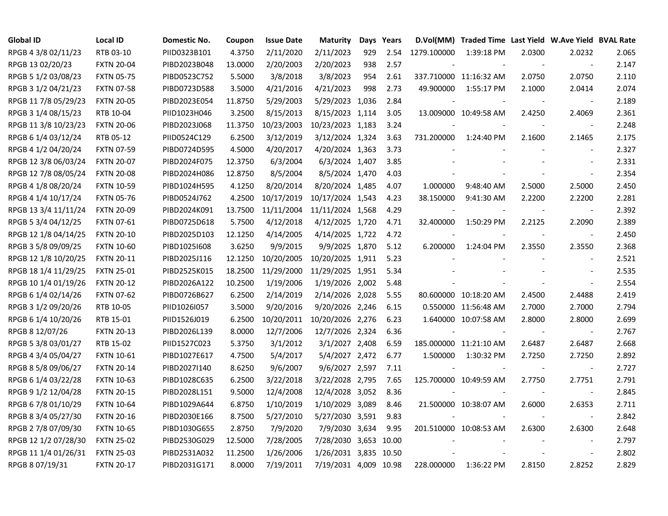| <b>Global ID</b>     | <b>Local ID</b>   | Domestic No. | Coupon  | <b>Issue Date</b> | <b>Maturity</b>       |     | Days Years |             | D.Vol(MM) Traded Time Last Yield W.Ave Yield BVAL Rate |        |                          |       |
|----------------------|-------------------|--------------|---------|-------------------|-----------------------|-----|------------|-------------|--------------------------------------------------------|--------|--------------------------|-------|
| RPGB 4 3/8 02/11/23  | RTB 03-10         | PIID0323B101 | 4.3750  | 2/11/2020         | 2/11/2023             | 929 | 2.54       | 1279.100000 | 1:39:18 PM                                             | 2.0300 | 2.0232                   | 2.065 |
| RPGB 13 02/20/23     | <b>FXTN 20-04</b> | PIBD2023B048 | 13.0000 | 2/20/2003         | 2/20/2023             | 938 | 2.57       |             |                                                        |        | $\overline{\phantom{a}}$ | 2.147 |
| RPGB 5 1/2 03/08/23  | <b>FXTN 05-75</b> | PIBD0523C752 | 5.5000  | 3/8/2018          | 3/8/2023              | 954 | 2.61       |             | 337.710000 11:16:32 AM                                 | 2.0750 | 2.0750                   | 2.110 |
| RPGB 3 1/2 04/21/23  | <b>FXTN 07-58</b> | PIBD0723D588 | 3.5000  | 4/21/2016         | 4/21/2023             | 998 | 2.73       | 49.900000   | 1:55:17 PM                                             | 2.1000 | 2.0414                   | 2.074 |
| RPGB 11 7/8 05/29/23 | <b>FXTN 20-05</b> | PIBD2023E054 | 11.8750 | 5/29/2003         | 5/29/2023 1,036       |     | 2.84       |             |                                                        |        | $\overline{\phantom{a}}$ | 2.189 |
| RPGB 3 1/4 08/15/23  | RTB 10-04         | PIID1023H046 | 3.2500  | 8/15/2013         | 8/15/2023 1,114       |     | 3.05       |             | 13.009000 10:49:58 AM                                  | 2.4250 | 2.4069                   | 2.361 |
| RPGB 11 3/8 10/23/23 | <b>FXTN 20-06</b> | PIBD2023J068 | 11.3750 | 10/23/2003        | 10/23/2023 1,183      |     | 3.24       |             |                                                        |        | $\blacksquare$           | 2.248 |
| RPGB 6 1/4 03/12/24  | RTB 05-12         | PIID0524C129 | 6.2500  | 3/12/2019         | 3/12/2024 1,324       |     | 3.63       | 731.200000  | 1:24:40 PM                                             | 2.1600 | 2.1465                   | 2.175 |
| RPGB 4 1/2 04/20/24  | <b>FXTN 07-59</b> | PIBD0724D595 | 4.5000  | 4/20/2017         | 4/20/2024 1,363       |     | 3.73       |             |                                                        |        | $\blacksquare$           | 2.327 |
| RPGB 12 3/8 06/03/24 | <b>FXTN 20-07</b> | PIBD2024F075 | 12.3750 | 6/3/2004          | 6/3/2024 1,407        |     | 3.85       |             |                                                        |        | $\blacksquare$           | 2.331 |
| RPGB 12 7/8 08/05/24 | <b>FXTN 20-08</b> | PIBD2024H086 | 12.8750 | 8/5/2004          | 8/5/2024 1,470        |     | 4.03       |             |                                                        |        | $\blacksquare$           | 2.354 |
| RPGB 4 1/8 08/20/24  | <b>FXTN 10-59</b> | PIBD1024H595 | 4.1250  | 8/20/2014         | 8/20/2024 1,485       |     | 4.07       | 1.000000    | 9:48:40 AM                                             | 2.5000 | 2.5000                   | 2.450 |
| RPGB 4 1/4 10/17/24  | <b>FXTN 05-76</b> | PIBD0524J762 | 4.2500  | 10/17/2019        | 10/17/2024 1,543      |     | 4.23       | 38.150000   | 9:41:30 AM                                             | 2.2200 | 2.2200                   | 2.281 |
| RPGB 13 3/4 11/11/24 | <b>FXTN 20-09</b> | PIBD2024K091 | 13.7500 | 11/11/2004        | 11/11/2024 1,568      |     | 4.29       |             |                                                        |        | $\blacksquare$           | 2.392 |
| RPGB 5 3/4 04/12/25  | <b>FXTN 07-61</b> | PIBD0725D618 | 5.7500  | 4/12/2018         | 4/12/2025 1,720       |     | 4.71       | 32.400000   | 1:50:29 PM                                             | 2.2125 | 2.2090                   | 2.389 |
| RPGB 12 1/8 04/14/25 | <b>FXTN 20-10</b> | PIBD2025D103 | 12.1250 | 4/14/2005         | 4/14/2025 1,722       |     | 4.72       |             |                                                        |        | $\overline{\phantom{a}}$ | 2.450 |
| RPGB 3 5/8 09/09/25  | <b>FXTN 10-60</b> | PIBD1025I608 | 3.6250  | 9/9/2015          | 9/9/2025 1,870        |     | 5.12       | 6.200000    | 1:24:04 PM                                             | 2.3550 | 2.3550                   | 2.368 |
| RPGB 12 1/8 10/20/25 | <b>FXTN 20-11</b> | PIBD2025J116 | 12.1250 | 10/20/2005        | 10/20/2025 1,911      |     | 5.23       |             |                                                        |        | $\overline{\phantom{a}}$ | 2.521 |
| RPGB 18 1/4 11/29/25 | <b>FXTN 25-01</b> | PIBD2525K015 | 18.2500 | 11/29/2000        | 11/29/2025 1,951      |     | 5.34       |             |                                                        |        | $\overline{\phantom{a}}$ | 2.535 |
| RPGB 10 1/4 01/19/26 | <b>FXTN 20-12</b> | PIBD2026A122 | 10.2500 | 1/19/2006         | 1/19/2026 2,002       |     | 5.48       |             |                                                        |        | $\overline{\phantom{a}}$ | 2.554 |
| RPGB 6 1/4 02/14/26  | <b>FXTN 07-62</b> | PIBD0726B627 | 6.2500  | 2/14/2019         | 2/14/2026 2,028       |     | 5.55       |             | 80.600000 10:18:20 AM                                  | 2.4500 | 2.4488                   | 2.419 |
| RPGB 3 1/2 09/20/26  | RTB 10-05         | PIID1026I057 | 3.5000  | 9/20/2016         | 9/20/2026 2,246       |     | 6.15       |             | 0.550000 11:56:48 AM                                   | 2.7000 | 2.7000                   | 2.794 |
| RPGB 6 1/4 10/20/26  | RTB 15-01         | PIID1526J019 | 6.2500  | 10/20/2011        | 10/20/2026 2,276      |     | 6.23       |             | 1.640000 10:07:58 AM                                   | 2.8000 | 2.8000                   | 2.699 |
| RPGB 8 12/07/26      | <b>FXTN 20-13</b> | PIBD2026L139 | 8.0000  | 12/7/2006         | 12/7/2026 2,324       |     | 6.36       |             |                                                        |        | $\overline{\phantom{a}}$ | 2.767 |
| RPGB 5 3/8 03/01/27  | RTB 15-02         | PIID1527C023 | 5.3750  | 3/1/2012          | 3/1/2027 2,408        |     | 6.59       |             | 185.000000 11:21:10 AM                                 | 2.6487 | 2.6487                   | 2.668 |
| RPGB 4 3/4 05/04/27  | <b>FXTN 10-61</b> | PIBD1027E617 | 4.7500  | 5/4/2017          | 5/4/2027 2,472        |     | 6.77       | 1.500000    | 1:30:32 PM                                             | 2.7250 | 2.7250                   | 2.892 |
| RPGB 8 5/8 09/06/27  | <b>FXTN 20-14</b> | PIBD2027I140 | 8.6250  | 9/6/2007          | 9/6/2027 2,597        |     | 7.11       |             |                                                        |        | $\blacksquare$           | 2.727 |
| RPGB 6 1/4 03/22/28  | <b>FXTN 10-63</b> | PIBD1028C635 | 6.2500  | 3/22/2018         | 3/22/2028 2,795       |     | 7.65       |             | 125.700000 10:49:59 AM                                 | 2.7750 | 2.7751                   | 2.791 |
| RPGB 9 1/2 12/04/28  | <b>FXTN 20-15</b> | PIBD2028L151 | 9.5000  | 12/4/2008         | 12/4/2028 3,052       |     | 8.36       |             |                                                        |        |                          | 2.845 |
| RPGB 67/8 01/10/29   | <b>FXTN 10-64</b> | PIBD1029A644 | 6.8750  | 1/10/2019         | 1/10/2029 3,089       |     | 8.46       |             | 21.500000 10:38:07 AM                                  | 2.6000 | 2.6353                   | 2.711 |
| RPGB 8 3/4 05/27/30  | <b>FXTN 20-16</b> | PIBD2030E166 | 8.7500  | 5/27/2010         | 5/27/2030 3,591       |     | 9.83       |             |                                                        |        | $\blacksquare$           | 2.842 |
| RPGB 2 7/8 07/09/30  | <b>FXTN 10-65</b> | PIBD1030G655 | 2.8750  | 7/9/2020          | 7/9/2030 3,634        |     | 9.95       |             | 201.510000 10:08:53 AM                                 | 2.6300 | 2.6300                   | 2.648 |
| RPGB 12 1/2 07/28/30 | <b>FXTN 25-02</b> | PIBD2530G029 | 12.5000 | 7/28/2005         | 7/28/2030 3,653 10.00 |     |            |             |                                                        |        | $\overline{\phantom{a}}$ | 2.797 |
| RPGB 11 1/4 01/26/31 | <b>FXTN 25-03</b> | PIBD2531A032 | 11.2500 | 1/26/2006         | 1/26/2031 3,835 10.50 |     |            |             |                                                        |        | $\overline{\phantom{a}}$ | 2.802 |
| RPGB 8 07/19/31      | <b>FXTN 20-17</b> | PIBD2031G171 | 8.0000  | 7/19/2011         | 7/19/2031 4,009 10.98 |     |            | 228.000000  | 1:36:22 PM                                             | 2.8150 | 2.8252                   | 2.829 |